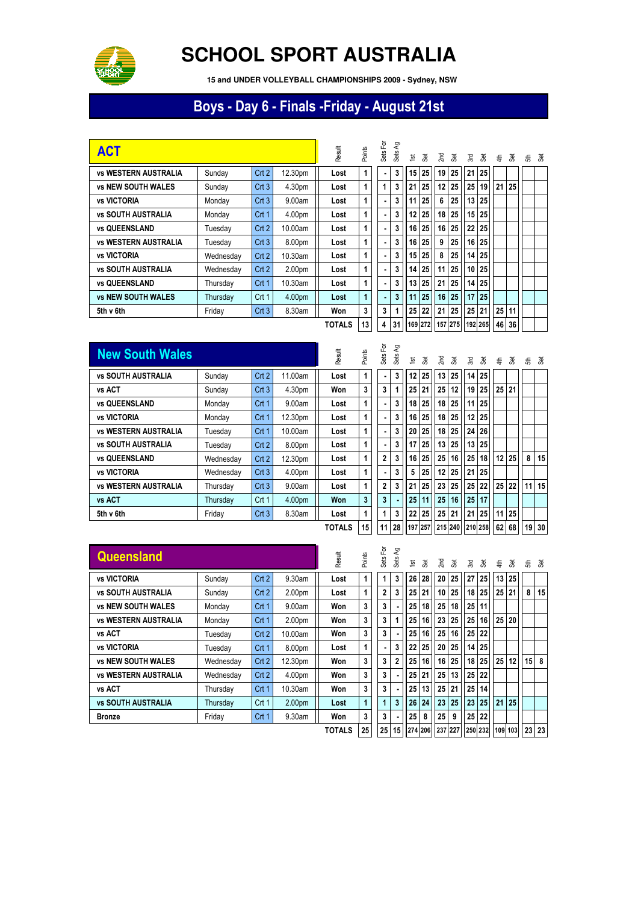

## **SCHOOL SPORT AUSTRALIA**

 **15 and UNDER VOLLEYBALL CHAMPIONSHIPS 2009 - Sydney, NSW**

## Boys - Day 6 - Finals -Friday - August 21st

| <b>ACT</b>                  |           |                  |                    | Result        | Points | 인<br>Sets      | දි<br>Sets      | $\overline{\mathbf{5}}$ | š               | 2 <sub>nd</sub> | යි                                          | Σđ | æ, | €               | க்              | ੜ੍ਹ ਫ਼ |
|-----------------------------|-----------|------------------|--------------------|---------------|--------|----------------|-----------------|-------------------------|-----------------|-----------------|---------------------------------------------|----|----|-----------------|-----------------|--------|
| <b>vs WESTERN AUSTRALIA</b> | Sunday    | Crt <sub>2</sub> | 12.30pm            | Lost          | 1      |                | 3               | 15 <sup>1</sup>         | 25              | 19              | 25                                          | 21 | 25 |                 |                 |        |
| <b>vs NEW SOUTH WALES</b>   | Sunday    | Crt3             | 4.30pm             | Lost          | 1      | 1              | 3               | 21                      | 25              | 12              | 25                                          | 25 | 19 | 21              | 25 <sub>1</sub> |        |
| <b>vs VICTORIA</b>          | Monday    | Crt3             | 9.00am             | Lost          | 1      | ۰              | 3               | 11                      | 25 <sub>1</sub> | 6               | 25 <sub>1</sub>                             | 13 | 25 |                 |                 |        |
| <b>vs SOUTH AUSTRALIA</b>   | Monday    | Crt 1            | 4.00pm             | Lost          | 1      |                | 3               | 12                      | 25              | 18              | 25                                          | 15 | 25 |                 |                 |        |
| <b>vs QUEENSLAND</b>        | Tuesdav   | Crt <sub>2</sub> | 10.00am            | Lost          | 1      |                | 3               | 16 <sup>1</sup>         | 25              | 16              | 25                                          | 22 | 25 |                 |                 |        |
| <b>vs WESTERN AUSTRALIA</b> | Tuesday   | Crt3             | 8.00pm             | Lost          | 1      |                | 3               |                         | 16 25           | 9               | 25                                          | 16 | 25 |                 |                 |        |
| <b>vs VICTORIA</b>          | Wednesday | Crt2             | 10.30am            | Lost          | 1      |                | 3               |                         | 15 25           | 8               | 25                                          | 14 | 25 |                 |                 |        |
| <b>vs SOUTH AUSTRALIA</b>   | Wednesday | Crt2             | 2.00 <sub>pm</sub> | Lost          | 1      | ۰              | 3               | 14 <sup>1</sup>         | 25 <sub>1</sub> | 11              | 25 <sub>1</sub>                             | 10 | 25 |                 |                 |        |
| <b>vs QUEENSLAND</b>        | Thursday  | Crt 1            | 10.30am            | Lost          | 1      |                | 3               |                         | 13 25           | 21              | 25                                          | 14 | 25 |                 |                 |        |
| <b>vs NEW SOUTH WALES</b>   | Thursday  | Crt 1            | 4.00pm             | Lost          |        |                | 3               | 11                      | 25 <sub>1</sub> | 16              | 25                                          | 17 | 25 |                 |                 |        |
| 5th v 6th                   | Friday    | Crt3             | 8.30am             | Won           | 3      | 3              |                 | 25 <sub>1</sub>         | 22              | 21              | 25                                          | 25 | 21 | 25 <sub>1</sub> | 11              |        |
|                             |           |                  |                    | <b>TOTALS</b> | 13     | 4 <sup>1</sup> | 31 <sup>1</sup> |                         |                 |                 | 169 272   157   275    192   265    46   36 |    |    |                 |                 |        |

| <b>New South Wales</b>      |           |                  |         | Result        | Points          | Sets For       | Ъ<br>Sets     | $\overline{\mathbf{5}}$ | Šēt | Σm              | Šēt             | λÄ,             | Set             | $\frac{4}{9}$   |                 |       | ಕೆ ತೆ |
|-----------------------------|-----------|------------------|---------|---------------|-----------------|----------------|---------------|-------------------------|-----|-----------------|-----------------|-----------------|-----------------|-----------------|-----------------|-------|-------|
| <b>vs SOUTH AUSTRALIA</b>   | Sunday    | Crt <sub>2</sub> | 11.00am | Lost          | 1               |                | 3             | 12                      | 25  | 13              | 25 <sub>1</sub> | 14              | 25              |                 |                 |       |       |
| vs ACT                      | Sunday    | Crt3             | 4.30pm  | Won           | 3               | 3              |               | 25 <sup>1</sup>         | 21  | 25 <sup>1</sup> | 12 <sup>1</sup> | 19 <sup>1</sup> | 25 <sub>l</sub> | 25              | 21              |       |       |
| <b>vs QUEENSLAND</b>        | Monday    | Crt 1            | 9.00am  | Lost          | 1               | ٠              | 3             | 18                      | 25  | 18 <sup>1</sup> | 25 <sub>1</sub> | 11 <sup>1</sup> | 25              |                 |                 |       |       |
| <b>vs VICTORIA</b>          | Monday    | Crt 1            | 12.30pm | Lost          | 1               | $\blacksquare$ | 3             | 16                      | 25  | 18              | 25 <sub>1</sub> |                 | 12 25           |                 |                 |       |       |
| <b>vs WESTERN AUSTRALIA</b> | Tuesday   | Crt 1            | 10.00am | Lost          | 1               | ۰              | 3             | 20                      | 25  | 18 <sup>1</sup> | 25 <sub>1</sub> | 24              | 26              |                 |                 |       |       |
| <b>vs SOUTH AUSTRALIA</b>   | Tuesday   | Crt2             | 8.00pm  | Lost          | 1               | ٠              | 3             | 17                      | 25  | 13 <sup>1</sup> | 25 <sub>1</sub> | 13 <sup>1</sup> | 25              |                 |                 |       |       |
| <b>vs QUEENSLAND</b>        | Wednesday | Crt2             | 12.30pm | Lost          | 1               | $\mathbf{2}$   | 3             | 16                      | 25  | 25 <sup>2</sup> | 16 <sup>1</sup> | 25              | 18              | 12 <sub>2</sub> | 25              | 8     | 15    |
| <b>vs VICTORIA</b>          | Wednesday | Crt3             | 4.00pm  | Lost          | 1               | ۰              | 3             | 5                       | 25  | 12 <sup>1</sup> | 25              | 21              | 25              |                 |                 |       |       |
| <b>vs WESTERN AUSTRALIA</b> | Thursday  | Crt3             | 9.00am  | Lost          | 1               | $\overline{2}$ | 3             | 21                      | 25  | 23 <sub>1</sub> | 25 <sub>1</sub> | 25 <sub>1</sub> | 22              | 25              | 22              | 11 15 |       |
| vs ACT                      | Thursday  | Crt1             | 4.00pm  | Won           | 3               | 3              |               | 25                      | 11  | 25              | 16 <sup>1</sup> | 25 <sup>1</sup> | 17              |                 |                 |       |       |
| 5th v 6th                   | Friday    | Crt3             | 8.30am  | Lost          | 1               | 1              | 3             | 22                      | 25  | 25 <sup>2</sup> | 21              | 21              | 25 <sub>1</sub> | 11              | 25 <sub>1</sub> |       |       |
|                             |           |                  |         | <b>TOTALS</b> | 15 <sup>1</sup> |                | 11 28 197 257 |                         |     |                 |                 |                 | 215 240 210 258 |                 | 62 68           | 19 30 |       |

| Queensland                  |           |       |                    | Result        | Points | 헌<br>Sets <sup>1</sup> | දි<br>Sets     | $\overline{\mathbf{5}}$ | <b>Set</b> | 2nd             | š                                                       | 3rd             | š  | € | ्रह     |       | ੜ੍ਹ ਫ਼ |
|-----------------------------|-----------|-------|--------------------|---------------|--------|------------------------|----------------|-------------------------|------------|-----------------|---------------------------------------------------------|-----------------|----|---|---------|-------|--------|
| <b>vs VICTORIA</b>          | Sunday    | Crt2  | 9.30am             | Lost          | 1      | 1                      | 3              | 26                      | 28         | 20              | 25                                                      | 27              | 25 |   | 13 25   |       |        |
| <b>vs SOUTH AUSTRALIA</b>   | Sunday    | Crt2  | 2.00pm             | Lost          | 1      | $\mathbf{2}$           | 3              | 25                      | 21         | 10 <sup>1</sup> | 25                                                      | 18              | 25 |   | $25$ 21 | 8     | 15     |
| <b>vs NEW SOUTH WALES</b>   | Monday    | Crt 1 | 9.00am             | Won           | 3      | 3                      |                | 25                      | 18         | 25              | 18                                                      | 25              | 11 |   |         |       |        |
| <b>vs WESTERN AUSTRALIA</b> | Monday    | Crt 1 | 2.00 <sub>pm</sub> | Won           | 3      | 3                      |                | 25                      | 16         | 23              | 25                                                      | 25              | 16 |   | 25 20   |       |        |
| vs ACT                      | Tuesday   | Crt2  | 10.00am            | Won           | 3      | 3                      |                | 25                      | 16         | 25              | 16                                                      | 25 <sub>1</sub> | 22 |   |         |       |        |
| <b>vs VICTORIA</b>          | Tuesdav   | Crt 1 | 8.00pm             | Lost          | 1      | $\blacksquare$         | 3              | 22                      | 25         | 20              | 25                                                      | 14              | 25 |   |         |       |        |
| <b>vs NEW SOUTH WALES</b>   | Wednesdav | Crt2  | 12.30pm            | Won           | 3      | 3                      | $\overline{2}$ | 25                      | 16         | 16              | 25                                                      | 18              | 25 |   | 25 12   | 15    | 8      |
| <b>vs WESTERN AUSTRALIA</b> | Wednesday | Crt2  | 4.00pm             | Won           | 3      | $\mathbf{3}$           |                | 25                      | 21         | 25              | 13                                                      | 25              | 22 |   |         |       |        |
| vs ACT                      | Thursday  | Crt 1 | 10.30am            | Won           | 3      | 3                      |                | 25                      | 13         | 25              | 21                                                      | 25              | 14 |   |         |       |        |
| <b>vs SOUTH AUSTRALIA</b>   | Thursday  | Crt1  | 2.00pm             | Lost          | 1      | 1.                     | 3              | 26                      | 24         | 23              | 25                                                      | 23              | 25 |   | 21 25   |       |        |
| <b>Bronze</b>               | Friday    | Crt 1 | 9.30am             | Won           | 3      | 3                      |                | 25                      | 8          | 25              | 9                                                       | 25              | 22 |   |         |       |        |
|                             |           |       |                    | <b>TOTALS</b> | 25     |                        |                |                         |            |                 | 25   15   274   206   237   227   250   232   109   103 |                 |    |   |         | 23 23 |        |